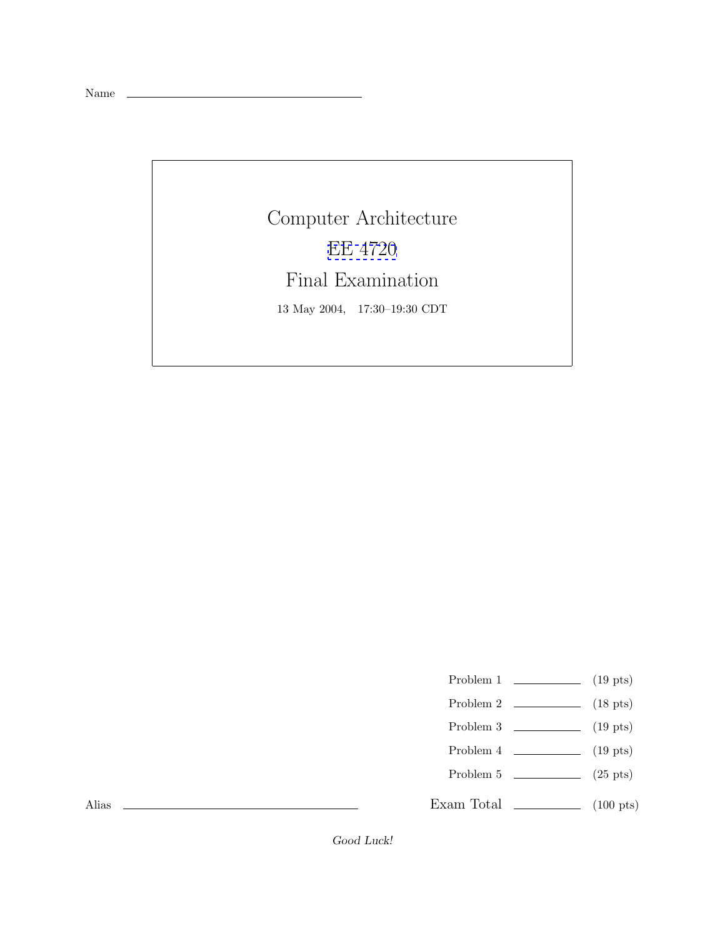Name

Computer Architecture [EE 4720](http://www.ece.lsu.edu/ee4720/) Final Examination 13 May 2004, 17:30–19:30 CDT

Problem 1  $\qquad \qquad (19 \text{ pts})$ 

- Problem 2 (18 pts)
- Problem 3  $\qquad \qquad (19 \text{ pts})$
- Problem 4  $\qquad \qquad$  (19 pts)
- Problem 5  $(25 \text{ pts})$

Exam Total \_\_\_\_\_\_\_\_\_\_\_\_\_ (100 pts)

Alias

Good Luck!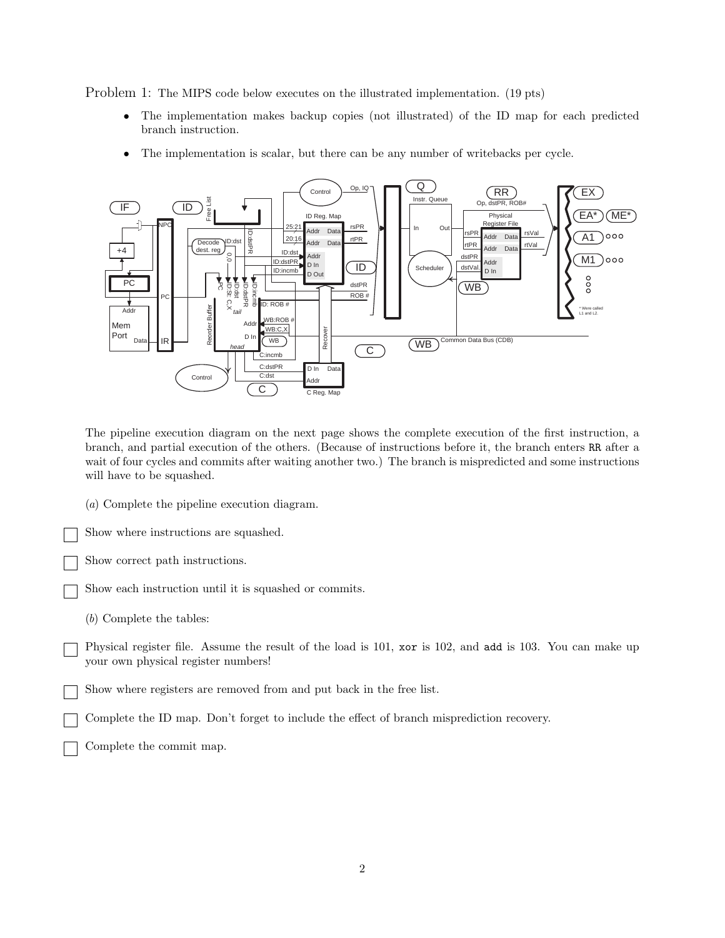Problem 1: The MIPS code below executes on the illustrated implementation. (19 pts)

- The implementation makes backup copies (not illustrated) of the ID map for each predicted branch instruction.
- The implementation is scalar, but there can be any number of writebacks per cycle.



The pipeline execution diagram on the next page shows the complete execution of the first instruction, a branch, and partial execution of the others. (Because of instructions before it, the branch enters RR after a wait of four cycles and commits after waiting another two.) The branch is mispredicted and some instructions will have to be squashed.

(*a*) Complete the pipeline execution diagram.

Show where instructions are squashed.

Show correct path instructions.

Show each instruction until it is squashed or commits.

(*b*) Complete the tables:

Physical register file. Assume the result of the load is 101, xor is 102, and add is 103. You can make up your own physical register numbers!

Show where registers are removed from and put back in the free list.

Complete the ID map. Don't forget to include the effect of branch misprediction recovery.

Complete the commit map.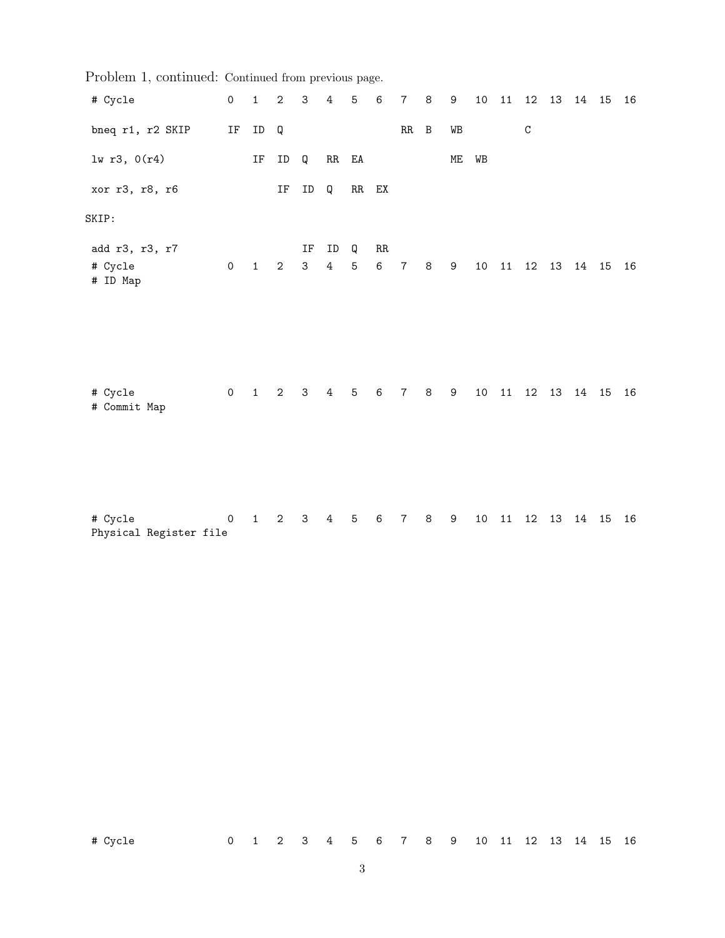| Problem 1, continued: Continued from previous page. |                     |                     |                     |                    |                      |                     |         |                |                |    |    |       |                        |                |  |    |
|-----------------------------------------------------|---------------------|---------------------|---------------------|--------------------|----------------------|---------------------|---------|----------------|----------------|----|----|-------|------------------------|----------------|--|----|
| # Cycle                                             | $\mathsf{O}$        | $\mathbf{1}$        | $\sqrt{2}$          | 3 <sup>7</sup>     | $\overline{4}$       | $\mathbf 5$         | 6       | $\overline{7}$ | $\,8\,$        | 9  |    |       | 10  11  12  13  14  15 |                |  | 16 |
| bneq r1, r2 SKIP                                    | IF                  | ID                  | Q                   |                    |                      |                     |         | $RR$ $B$       |                | WB |    |       | $\mathtt{C}$           |                |  |    |
| 1w r3, 0(r4)                                        |                     | $\operatorname{IF}$ | ID                  | Q                  | RR EA                |                     |         |                |                | МE | WB |       |                        |                |  |    |
| xor r3, r8, r6                                      |                     |                     | $\operatorname{IF}$ | ID                 | Q                    | $RR$ $EX$           |         |                |                |    |    |       |                        |                |  |    |
| SKIP:                                               |                     |                     |                     |                    |                      |                     |         |                |                |    |    |       |                        |                |  |    |
| add r3, r3, r7<br># Cycle<br># ID Map               | $\mathsf{O}\xspace$ | $\mathbf{1}$        | $\mathbf{2}$        | IF<br>$\mathbf{3}$ | ID<br>$\overline{4}$ | Q<br>$\overline{5}$ | RR<br>6 | $\overline{7}$ | $\,8\,$        | 9  |    | 10 11 |                        | 12  13  14  15 |  | 16 |
| # Cycle<br># Commit Map                             | $0\qquad 1$         |                     | $\mathbf{2}$        | 3 <sup>7</sup>     | $\overline{4}$       | $\mathbf 5$         | $\,6\,$ | $\overline{7}$ | 8 <sup>8</sup> | 9  |    |       | 10 11 12 13 14 15      |                |  | 16 |
| # Cycle<br>Physical Register file                   | 0                   | $\mathbf{1}$        | $\mathbf{2}$        | $\mathbf{3}$       | $\overline{4}$       | $\sqrt{5}$          | 6       | $\overline{7}$ | 8              | 9  |    | 10 11 |                        | 12  13  14  15 |  | 16 |

 $Problem 1,$  continued: Continued from previous page.

3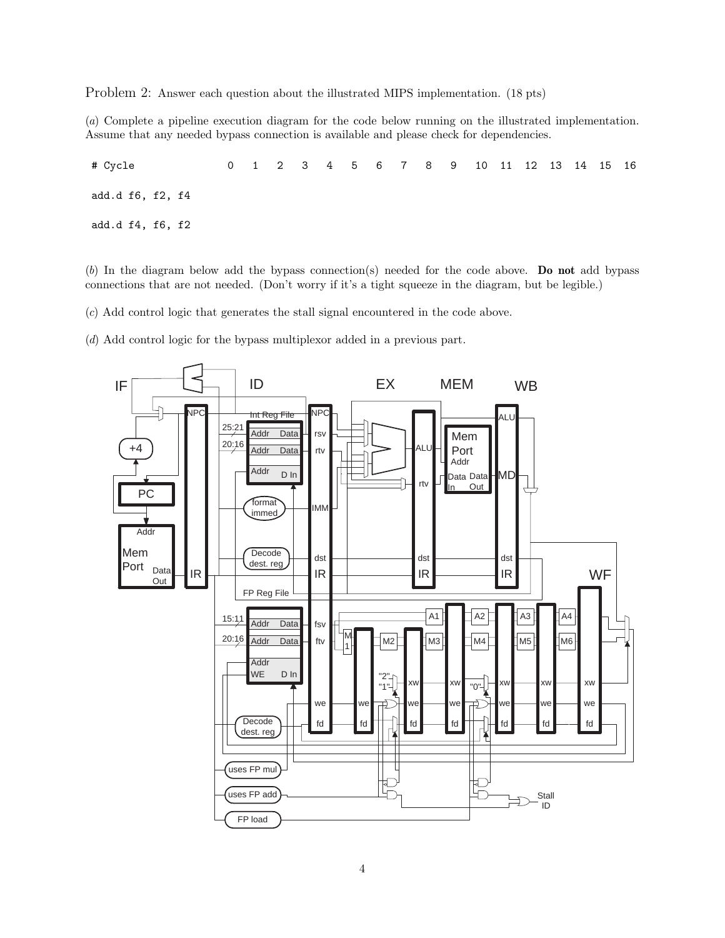Problem 2: Answer each question about the illustrated MIPS implementation. (18 pts)

(*a*) Complete a pipeline execution diagram for the code below running on the illustrated implementation. Assume that any needed bypass connection is available and please check for dependencies.

# Cycle 0 1 2 3 4 5 6 7 8 9 10 11 12 13 14 15 16 add.d f6, f2, f4 add.d f4, f6, f2

(*b*) In the diagram below add the bypass connection(s) needed for the code above. **Do not** add bypass connections that are not needed. (Don't worry if it's a tight squeeze in the diagram, but be legible.)

(*c*) Add control logic that generates the stall signal encountered in the code above.

(*d*) Add control logic for the bypass multiplexor added in a previous part.

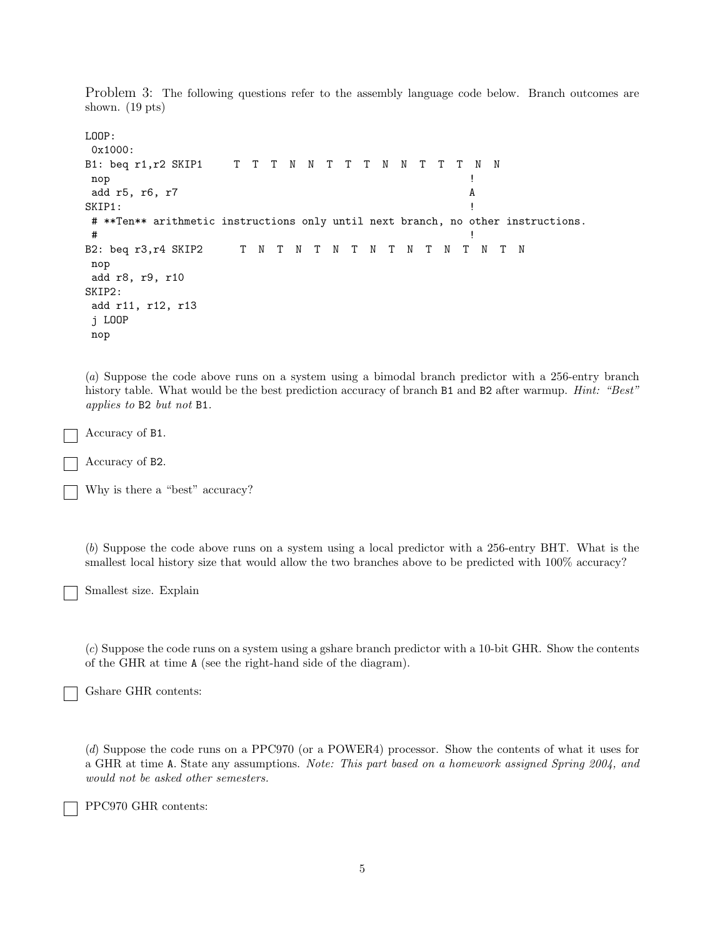Problem 3: The following questions refer to the assembly language code below. Branch outcomes are shown. (19 pts)

```
LOOP:
0x1000:
B1: beq r1, r2 SKIP1 T T T N N T T T N N T T T N N
 nop the state of the state of the state of the state of the state of the state of the state of the state of th
 add r5, r6, r7 A
SKIP1:# **Ten** arithmetic instructions only until next branch, no other instructions.
 \# . The contract of the contract of the contract of the contract of the contract of the contract of the contract of the contract of the contract of the contract of the contract of the contract of the contract of the co
B2: beq r3, r4 SKIP2 T N T N T N T N T N T N T N T N T N
nop
add r8, r9, r10
SKIP2:
 add r11, r12, r13
 j LOOP
nop
```
(*a*) Suppose the code above runs on a system using a bimodal branch predictor with a 256-entry branch history table. What would be the best prediction accuracy of branch B1 and B2 after warmup. *Hint: "Best" applies to* B2 *but not* B1*.*

Accuracy of B1.

Accuracy of B2.

Why is there a "best" accuracy?

(*b*) Suppose the code above runs on a system using a local predictor with a 256-entry BHT. What is the smallest local history size that would allow the two branches above to be predicted with  $100\%$  accuracy?

Smallest size. Explain

(*c*) Suppose the code runs on a system using a gshare branch predictor with a 10-bit GHR. Show the contents of the GHR at time A (see the right-hand side of the diagram).

Gshare GHR contents:

(*d*) Suppose the code runs on a PPC970 (or a POWER4) processor. Show the contents of what it uses for a GHR at time A. State any assumptions. *Note: This part based on a homework assigned Spring 2004, and would not be asked other semesters.*

PPC970 GHR contents: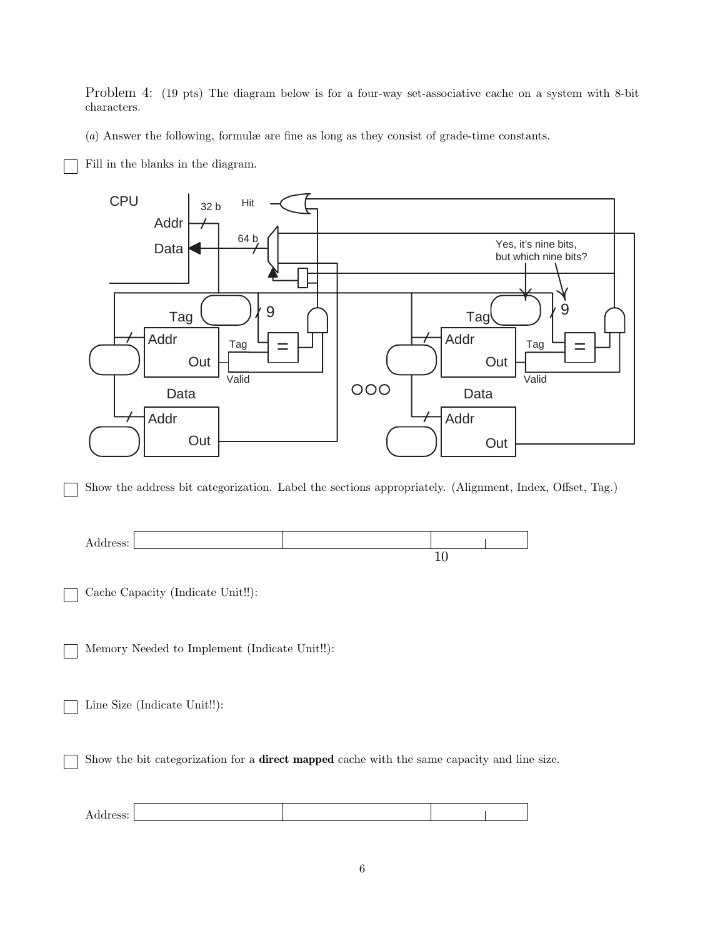Problem 4: (19 pts) The diagram below is for a four-way set-associative cache on a system with 8-bit characters.

(*a*) Answer the following, formulæ are fine as long as they consist of grade-time constants.

Fill in the blanks in the diagram.



Show the address bit categorization. Label the sections appropriately. (Alignment, Index, Offset, Tag.)



Cache Capacity (Indicate Unit!!):

Memory Needed to Implement (Indicate Unit!!):

Line Size (Indicate Unit!!):

Show the bit categorization for a **direct mapped** cache with the same capacity and line size.

| л<br>Address: |  |  |
|---------------|--|--|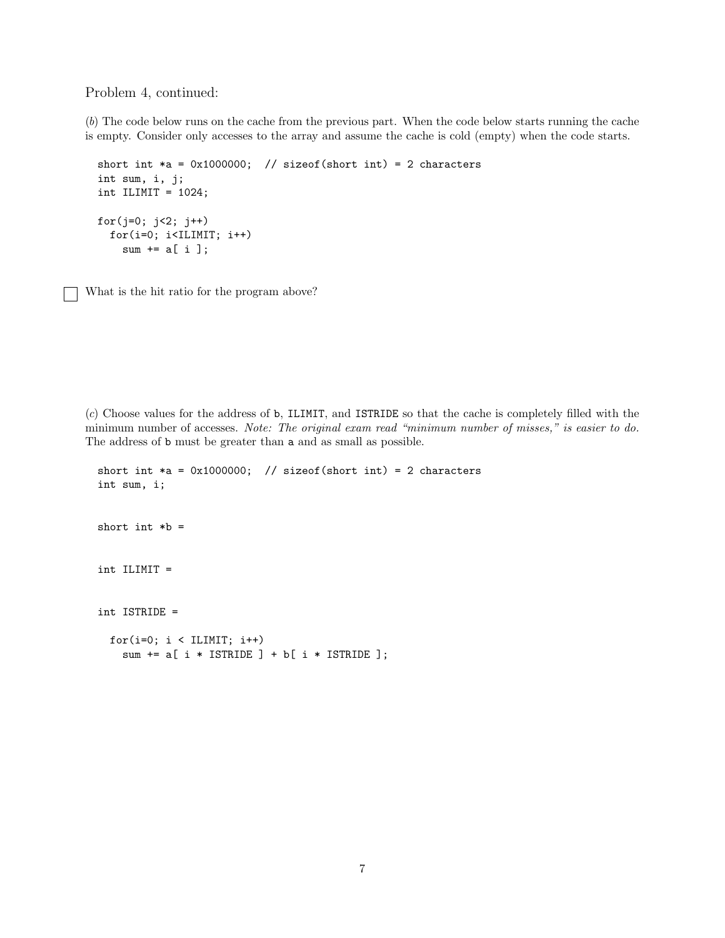Problem 4, continued:

(*b*) The code below runs on the cache from the previous part. When the code below starts running the cache is empty. Consider only accesses to the array and assume the cache is cold (empty) when the code starts.

```
short int *a = 0x1000000; // sizeof(short int) = 2 characters
int sum, i, j;
int ILIMIT = 1024;
for(j=0; j<2; j++)for(i=0; i<ILIMIT; i++)
   sum += a[ i ];
```
What is the hit ratio for the program above?

(*c*) Choose values for the address of b, ILIMIT, and ISTRIDE so that the cache is completely filled with the minimum number of accesses. *Note: The original exam read "minimum number of misses," is easier to do.* The address of b must be greater than a and as small as possible.

```
short int *a = 0x1000000; // sizeof(short int) = 2 characters
int sum, i;
short int *b =int ILIMIT =
int ISTRIDE =
 for(i=0; i < ILIMIT; i++)
   sum += a[ i * ISTRIDE ] + b[ i * ISTRIDE ];
```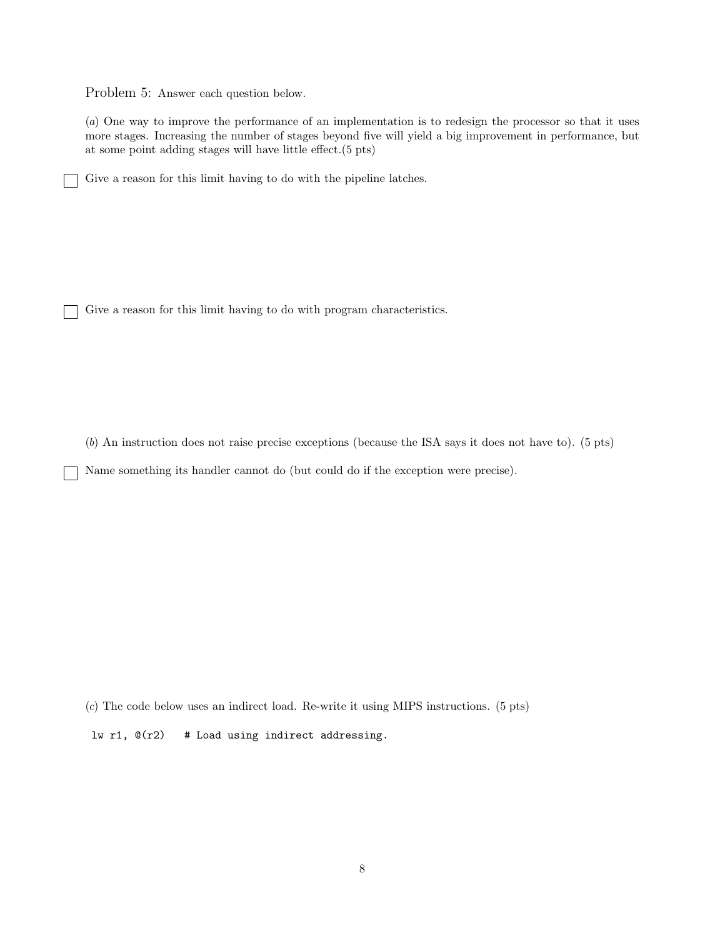Problem 5: Answer each question below.

(*a*) One way to improve the performance of an implementation is to redesign the processor so that it uses more stages. Increasing the number of stages beyond five will yield a big improvement in performance, but at some point adding stages will have little effect.(5 pts)

Give a reason for this limit having to do with the pipeline latches.

Give a reason for this limit having to do with program characteristics.

(*b*) An instruction does not raise precise exceptions (because the ISA says it does not have to). (5 pts)

Name something its handler cannot do (but could do if the exception were precise).

(*c*) The code below uses an indirect load. Re-write it using MIPS instructions. (5 pts)

lw r1,  $\mathbb{O}(r2)$  # Load using indirect addressing.